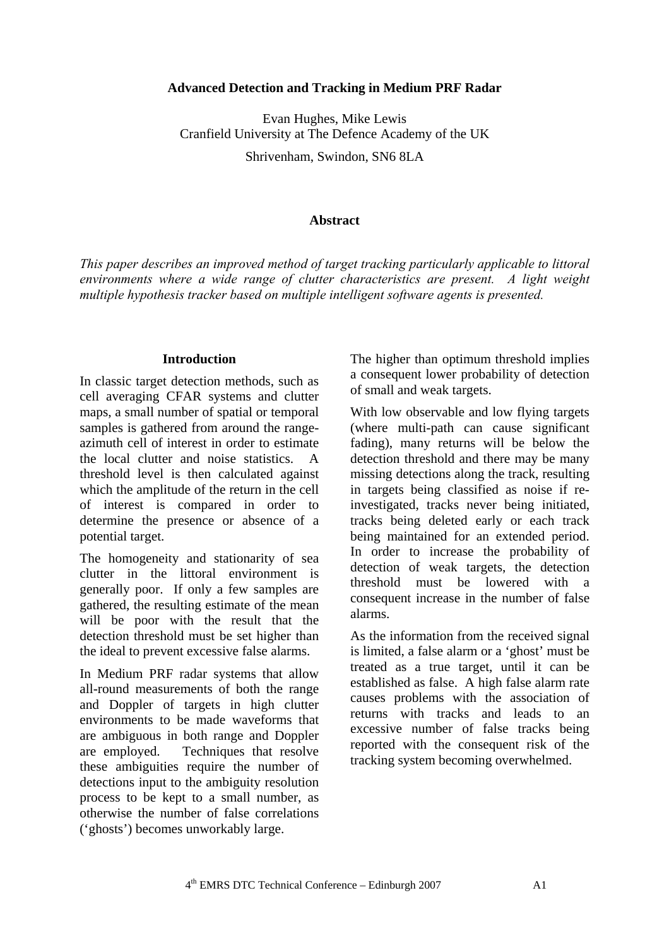### **Advanced Detection and Tracking in Medium PRF Radar**

Evan Hughes, Mike Lewis Cranfield University at The Defence Academy of the UK Shrivenham, Swindon, SN6 8LA

### **Abstract**

*This paper describes an improved method of target tracking particularly applicable to littoral environments where a wide range of clutter characteristics are present. A light weight multiple hypothesis tracker based on multiple intelligent software agents is presented.* 

#### **Introduction**

In classic target detection methods, such as cell averaging CFAR systems and clutter maps, a small number of spatial or temporal samples is gathered from around the rangeazimuth cell of interest in order to estimate the local clutter and noise statistics. A threshold level is then calculated against which the amplitude of the return in the cell of interest is compared in order to determine the presence or absence of a potential target.

The homogeneity and stationarity of sea clutter in the littoral environment is generally poor. If only a few samples are gathered, the resulting estimate of the mean will be poor with the result that the detection threshold must be set higher than the ideal to prevent excessive false alarms.

In Medium PRF radar systems that allow all-round measurements of both the range and Doppler of targets in high clutter environments to be made waveforms that are ambiguous in both range and Doppler are employed. Techniques that resolve these ambiguities require the number of detections input to the ambiguity resolution process to be kept to a small number, as otherwise the number of false correlations ('ghosts') becomes unworkably large.

The higher than optimum threshold implies a consequent lower probability of detection of small and weak targets.

With low observable and low flying targets (where multi-path can cause significant fading), many returns will be below the detection threshold and there may be many missing detections along the track, resulting in targets being classified as noise if reinvestigated, tracks never being initiated, tracks being deleted early or each track being maintained for an extended period. In order to increase the probability of detection of weak targets, the detection threshold must be lowered with a consequent increase in the number of false alarms.

As the information from the received signal is limited, a false alarm or a 'ghost' must be treated as a true target, until it can be established as false. A high false alarm rate causes problems with the association of returns with tracks and leads to an excessive number of false tracks being reported with the consequent risk of the tracking system becoming overwhelmed.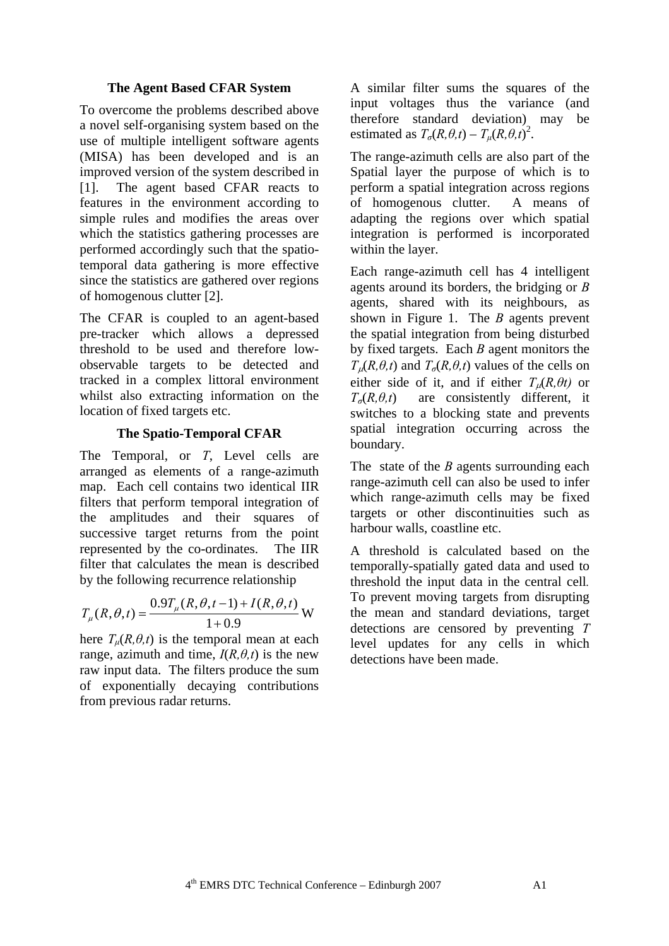## **The Agent Based CFAR System**

To overcome the problems described above a novel self-organising system based on the use of multiple intelligent software agents (MISA) has been developed and is an improved version of the system described in [1]. The agent based CFAR reacts to features in the environment according to simple rules and modifies the areas over which the statistics gathering processes are performed accordingly such that the spatiotemporal data gathering is more effective since the statistics are gathered over regions of homogenous clutter [ 2].

The CFAR is coupled to an agent-based pre-tracker which allows a depressed threshold to be used and therefore lowobservable targets to be detected and tracked in a complex littoral environment whilst also extracting information on the location of fixed targets etc.

## **The Spatio-Temporal CFAR**

The Temporal, or *T*, Level cells are arranged as elements of a range-azimuth map. Each cell contains two identical IIR filters that perform temporal integration of the amplitudes and their squares of successive target returns from the point represented by the co-ordinates. The IIR filter that calculates the mean is described by the following recurrence relationship

$$
T_{\mu}(R,\theta,t) = \frac{0.9T_{\mu}(R,\theta,t-1) + I(R,\theta,t)}{1+0.9}
$$
 W

here  $T_{\mu}(R,\theta,t)$  is the temporal mean at each range, azimuth and time,  $I(R, \theta, t)$  is the new raw input data. The filters produce the sum of exponentially decaying contributions from previous radar returns.

A similar filter sums the squares of the input voltages thus the variance (and therefore standard deviation) may be estimated as  $T_{\sigma}(R, \theta, t) - T_{\mu}(R, \theta, t)^2$ .

The range-azimuth cells are also part of the Spatial layer the purpose of which is to perform a spatial integration across regions of homogenous clutter. A means of adapting the regions over which spatial integration is performed is incorporated within the layer.

Each range-azimuth cell has 4 intelligent agents around its borders, the bridging or *B* agents, shared with its neighbours, as shown in Figure 1. The *B* agents prevent the spatial integration from being disturbed by fixed targets. Each *B* agent monitors the  $T_{\mu}(R,\theta,t)$  and  $T_{\sigma}(R,\theta,t)$  values of the cells on either side of it, and if either  $T_{\mu}(R,\theta t)$  or  $T_{\sigma}(R, \theta, t)$  are consistently different, it switches to a blocking state and prevents spatial integration occurring across the boundary.

The state of the *B* agents surrounding each range-azimuth cell can also be used to infer which range-azimuth cells may be fixed targets or other discontinuities such as harbour walls, coastline etc.

A threshold is calculated based on the temporally-spatially gated data and used to threshold the input data in the central cell*.* To prevent moving targets from disrupting the mean and standard deviations, target detections are censored by preventing *T* level updates for any cells in which detections have been made.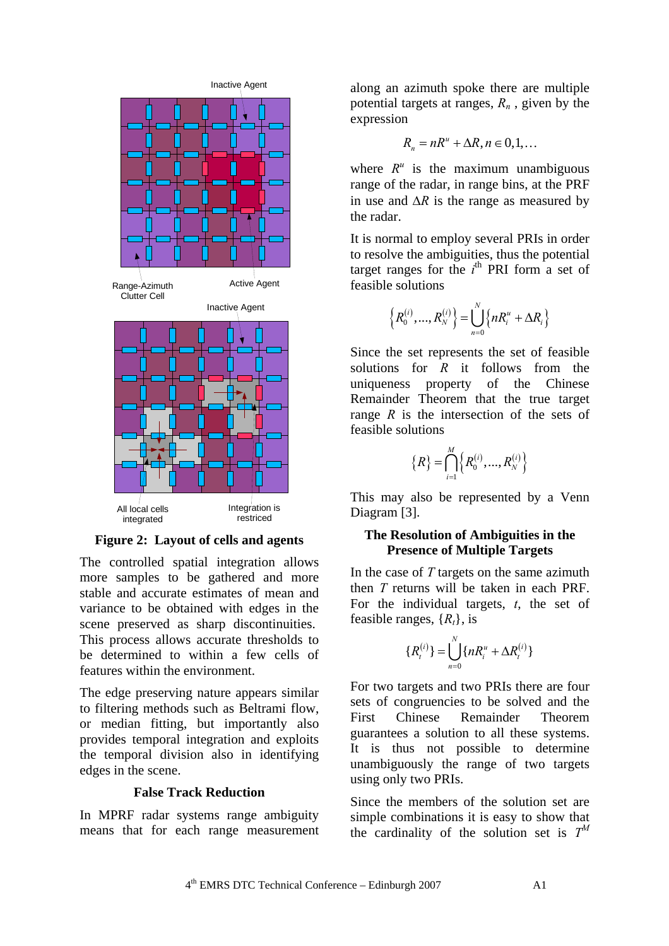

**Figure 2: Layout of cells and agents** 

The controlled spatial integration allows more samples to be gathered and more stable and accurate estimates of mean and variance to be obtained with edges in the scene preserved as sharp discontinuities. This process allows accurate thresholds to be determined to within a few cells of features within the environment.

The edge preserving nature appears similar to filtering methods such as Beltrami flow, or median fitting, but importantly also provides temporal integration and exploits the temporal division also in identifying edges in the scene.

### **False Track Reduction**

In MPRF radar systems range ambiguity means that for each range measurement along an azimuth spoke there are multiple potential targets at ranges, *Rn* , given by the expression

$$
R_n = nR^n + \Delta R, n \in \{0, 1, \dots
$$

where  $R^u$  is the maximum unambiguous range of the radar, in range bins, at the PRF in use and ∆*R* is the range as measured by the radar.

It is normal to employ several PRIs in order to resolve the ambiguities, thus the potential target ranges for the *i*<sup>th</sup> PRI form a set of feasible solutions

$$
\left\{R_0^{(i)},...,R_N^{(i)}\right\} = \bigcup_{n=0}^N \left\{nR_i^u + \Delta R_i\right\}
$$

Since the set represents the set of feasible solutions for *R* it follows from the uniqueness property of the Chinese Remainder Theorem that the true target range *R* is the intersection of the sets of feasible solutions

$$
\left\{R\right\} = \bigcap_{i=1}^{M} \left\{R_0^{(i)}, ..., R_N^{(i)}\right\}
$$

This may also be represented by a Venn Diagram [3].

## **The Resolution of Ambiguities in the Presence of Multiple Targets**

In the case of *T* targets on the same azimuth then *T* returns will be taken in each PRF. For the individual targets, *t*, the set of feasible ranges,  $\{R_t\}$ , is

$$
\{R_t^{(i)}\} = \bigcup_{n=0}^N \{nR_i^u + \Delta R_t^{(i)}\}
$$

For two targets and two PRIs there are four sets of congruencies to be solved and the First Chinese Remainder Theorem guarantees a solution to all these systems. It is thus not possible to determine unambiguously the range of two targets using only two PRIs.

Since the members of the solution set are simple combinations it is easy to show that the cardinality of the solution set is  $T^M$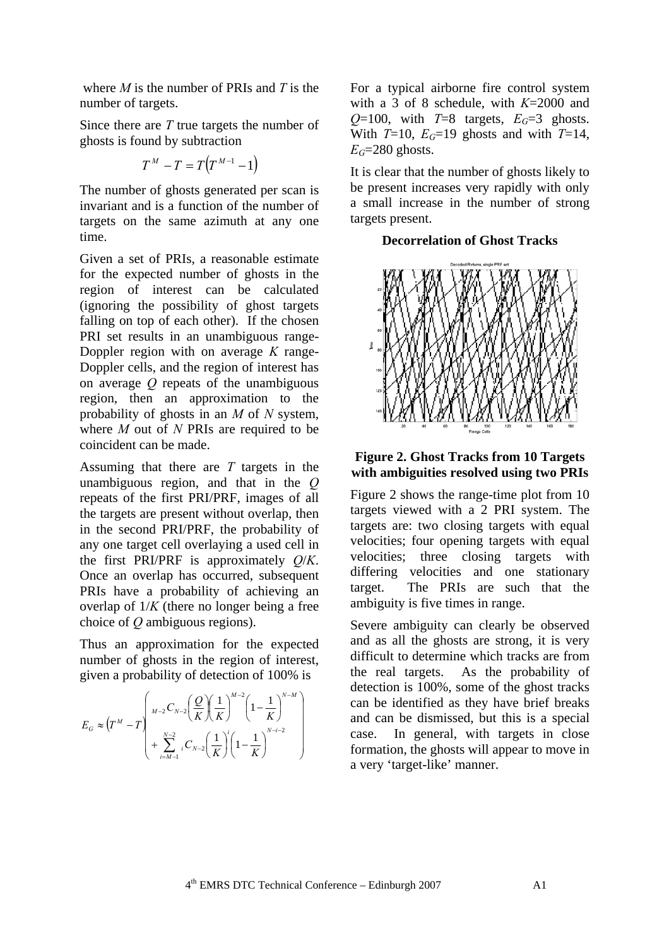where *M* is the number of PRIs and *T* is the number of targets.

Since there are *T* true targets the number of ghosts is found by subtraction

$$
T^M - T = T(T^{M-1} - 1)
$$

The number of ghosts generated per scan is invariant and is a function of the number of targets on the same azimuth at any one time.

Given a set of PRIs, a reasonable estimate for the expected number of ghosts in the region of interest can be calculated (ignoring the possibility of ghost targets falling on top of each other). If the chosen PRI set results in an unambiguous range-Doppler region with on average *K* range-Doppler cells, and the region of interest has on average *Q* repeats of the unambiguous region, then an approximation to the probability of ghosts in an *M* of *N* system, where *M* out of *N* PRIs are required to be coincident can be made.

Assuming that there are *T* targets in the unambiguous region, and that in the *Q* repeats of the first PRI/PRF, images of all the targets are present without overlap, then in the second PRI/PRF, the probability of any one target cell overlaying a used cell in the first PRI/PRF is approximately *Q*/*K*. Once an overlap has occurred, subsequent PRIs have a probability of achieving an overlap of 1/*K* (there no longer being a free choice of *Q* ambiguous regions).

Thus an approximation for the expected number of ghosts in the region of interest, given a probability of detection of 100% is

$$
E_G \approx \left( T^M - T \left( \frac{M_{-2} C_{N-2} \left( \frac{Q}{K} \right) \left( \frac{1}{K} \right)^{M-2} \left( 1 - \frac{1}{K} \right)^{N-M} \right) + \sum_{i=M-1}^{N-2} {}_{i} C_{N-2} \left( \frac{1}{K} \right) \left( 1 - \frac{1}{K} \right)^{N-i-2} \right)
$$

For a typical airborne fire control system with a 3 of 8 schedule, with *K*=2000 and *Q*=100, with *T*=8 targets,  $E_G=3$  ghosts. With  $T=10$ ,  $E_G=19$  ghosts and with  $T=14$ ,  $E$ <sup> $G=280$ </sup> ghosts.

It is clear that the number of ghosts likely to be present increases very rapidly with only a small increase in the number of strong targets present.

# **Decorrelation of Ghost Tracks**



# **Figure 2. Ghost Tracks from 10 Targets with ambiguities resolved using two PRIs**

Figure 2 shows the range-time plot from 10 targets viewed with a 2 PRI system. The targets are: two closing targets with equal velocities; four opening targets with equal velocities; three closing targets with differing velocities and one stationary target. The PRIs are such that the ambiguity is five times in range.

Severe ambiguity can clearly be observed and as all the ghosts are strong, it is very difficult to determine which tracks are from the real targets. As the probability of detection is 100%, some of the ghost tracks can be identified as they have brief breaks and can be dismissed, but this is a special case. In general, with targets in close formation, the ghosts will appear to move in a very 'target-like' manner.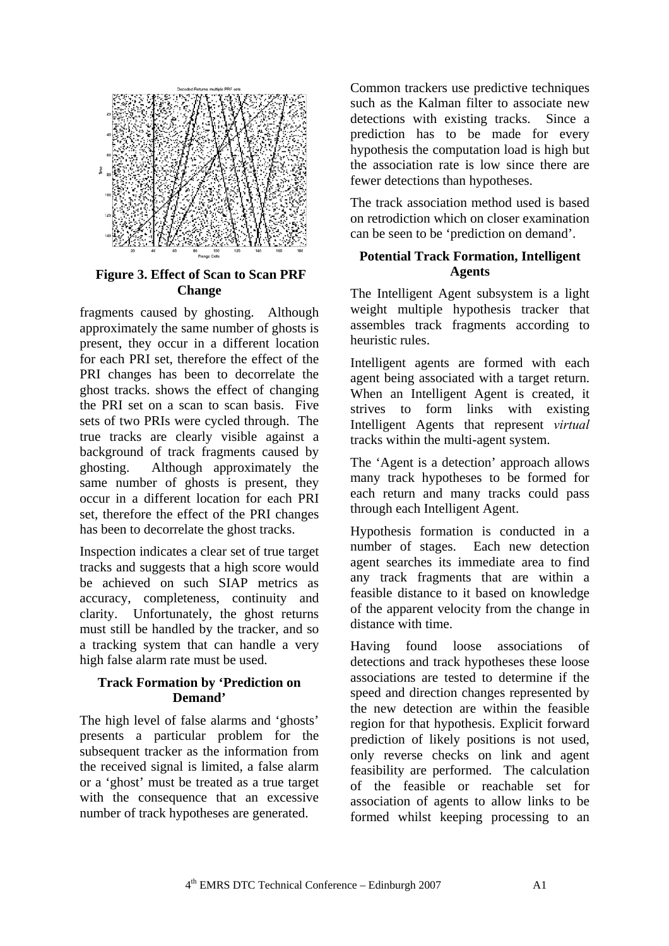

 **Figure 3. Effect of Scan to Scan PRF Change** 

fragments caused by ghosting. Although approximately the same number of ghosts is present, they occur in a different location for each PRI set, therefore the effect of the PRI changes has been to decorrelate the ghost tracks. shows the effect of changing the PRI set on a scan to scan basis. Five sets of two PRIs were cycled through. The true tracks are clearly visible against a background of track fragments caused by ghosting. Although approximately the same number of ghosts is present, they occur in a different location for each PRI set, therefore the effect of the PRI changes has been to decorrelate the ghost tracks.

Inspection indicates a clear set of true target tracks and suggests that a high score would be achieved on such SIAP metrics as accuracy, completeness, continuity and clarity. Unfortunately, the ghost returns must still be handled by the tracker, and so a tracking system that can handle a very high false alarm rate must be used.

## **Track Formation by 'Prediction on Demand'**

The high level of false alarms and 'ghosts' presents a particular problem for the subsequent tracker as the information from the received signal is limited, a false alarm or a 'ghost' must be treated as a true target with the consequence that an excessive number of track hypotheses are generated.

Common trackers use predictive techniques such as the Kalman filter to associate new detections with existing tracks. Since a prediction has to be made for every hypothesis the computation load is high but the association rate is low since there are fewer detections than hypotheses.

The track association method used is based on retrodiction which on closer examination can be seen to be 'prediction on demand'.

## **Potential Track Formation, Intelligent Agents**

The Intelligent Agent subsystem is a light weight multiple hypothesis tracker that assembles track fragments according to heuristic rules.

Intelligent agents are formed with each agent being associated with a target return. When an Intelligent Agent is created, it strives to form links with existing Intelligent Agents that represent *virtual*  tracks within the multi-agent system.

The 'Agent is a detection' approach allows many track hypotheses to be formed for each return and many tracks could pass through each Intelligent Agent.

Hypothesis formation is conducted in a number of stages. Each new detection agent searches its immediate area to find any track fragments that are within a feasible distance to it based on knowledge of the apparent velocity from the change in distance with time.

Having found loose associations of detections and track hypotheses these loose associations are tested to determine if the speed and direction changes represented by the new detection are within the feasible region for that hypothesis. Explicit forward prediction of likely positions is not used, only reverse checks on link and agent feasibility are performed. The calculation of the feasible or reachable set for association of agents to allow links to be formed whilst keeping processing to an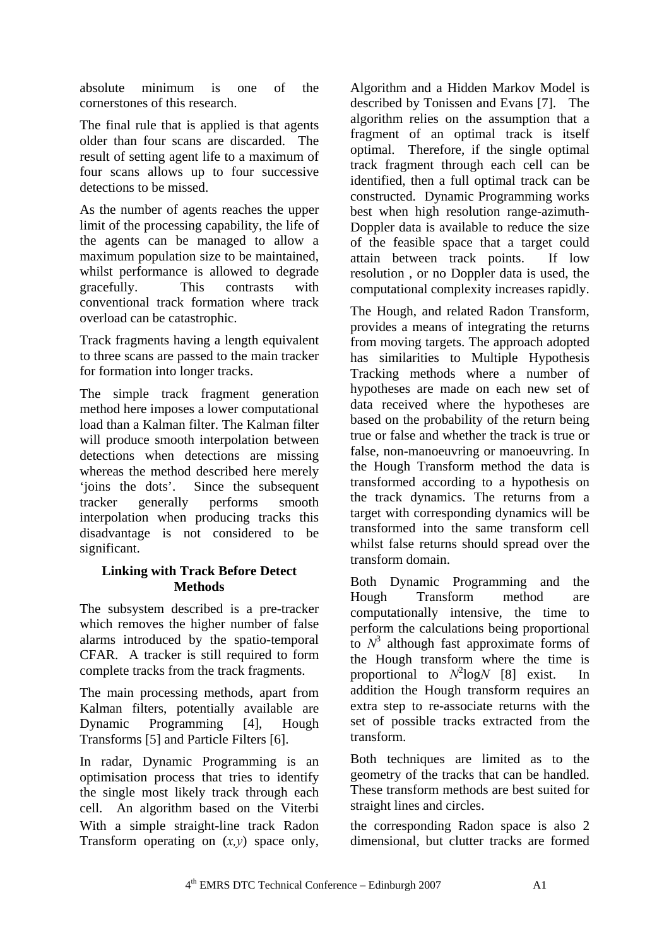absolute minimum is one of the cornerstones of this research.

The final rule that is applied is that agents older than four scans are discarded. The result of setting agent life to a maximum of four scans allows up to four successive detections to be missed.

As the number of agents reaches the upper limit of the processing capability, the life of the agents can be managed to allow a maximum population size to be maintained, whilst performance is allowed to degrade gracefully. This contrasts with conventional track formation where track overload can be catastrophic.

Track fragments having a length equivalent to three scans are passed to the main tracker for formation into longer tracks.

The simple track fragment generation method here imposes a lower computational load than a Kalman filter. The Kalman filter will produce smooth interpolation between detections when detections are missing whereas the method described here merely 'joins the dots'. Since the subsequent tracker generally performs smooth interpolation when producing tracks this disadvantage is not considered to be significant.

# **Linking with Track Before Detect Methods**

The subsystem described is a pre-tracker which removes the higher number of false alarms introduced by the spatio-temporal CFAR. A tracker is still required to form complete tracks from the track fragments.

The main processing methods, apart from Kalman filters, potentially available are Dynamic Programming [4], Hough Transforms [5] and Particle Filters [6].

In radar, Dynamic Programming is an optimisation process that tries to identify the single most likely track through each cell. An algorithm based on the Viterbi With a simple straight-line track Radon Transform operating on (*x,y*) space only, Algorithm and a Hidden Markov Model is described by Tonissen and Evans [7]. The algorithm relies on the assumption that a fragment of an optimal track is itself optimal. Therefore, if the single optimal track fragment through each cell can be identified, then a full optimal track can be constructed. Dynamic Programming works best when high resolution range-azimuth-Doppler data is available to reduce the size of the feasible space that a target could attain between track points. If low resolution , or no Doppler data is used, the computational complexity increases rapidly.

The Hough, and related Radon Transform, provides a means of integrating the returns from moving targets. The approach adopted has similarities to Multiple Hypothesis Tracking methods where a number of hypotheses are made on each new set of data received where the hypotheses are based on the probability of the return being true or false and whether the track is true or false, non-manoeuvring or manoeuvring. In the Hough Transform method the data is transformed according to a hypothesis on the track dynamics. The returns from a target with corresponding dynamics will be transformed into the same transform cell whilst false returns should spread over the transform domain.

Both Dynamic Programming and the Hough Transform method are computationally intensive, the time to perform the calculations being proportional to  $N^3$  although fast approximate forms of the Hough transform where the time is proportional to  $N^2 \log N$  [8] exist. In addition the Hough transform requires an extra step to re-associate returns with the set of possible tracks extracted from the transform.

Both techniques are limited as to the geometry of the tracks that can be handled. These transform methods are best suited for straight lines and circles.

the corresponding Radon space is also 2 dimensional, but clutter tracks are formed